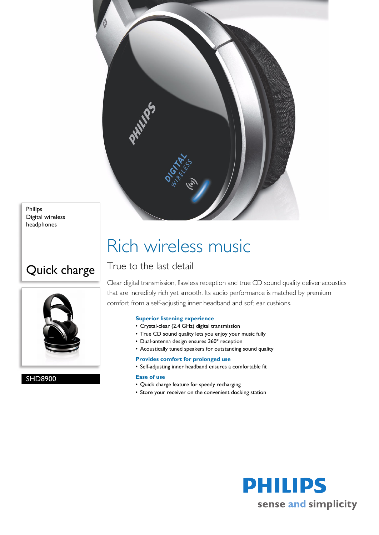

Philips Digital wireless headphones

### Quick charge



SHD8900

# Rich wireless music

### True to the last detail

Clear digital transmission, flawless reception and true CD sound quality deliver acoustics that are incredibly rich yet smooth. Its audio performance is matched by premium comfort from a self-adjusting inner headband and soft ear cushions.

#### **Superior listening experience**

- Crystal-clear (2.4 GHz) digital transmission
- True CD sound quality lets you enjoy your music fully
- Dual-antenna design ensures 360º reception
- Acoustically tuned speakers for outstanding sound quality

#### **Provides comfort for prolonged use**

• Self-adjusting inner headband ensures a comfortable fit

#### **Ease of use**

- Quick charge feature for speedy recharging
- Store your receiver on the convenient docking station